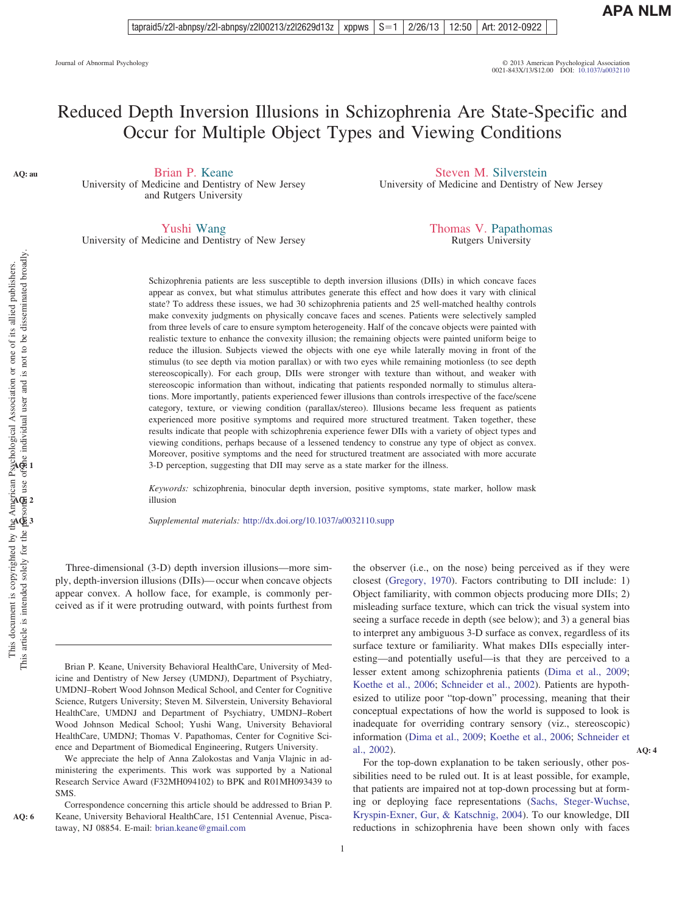<span id="page-0-4"></span>**AQ: 4**

Journal of Abnormal Psychology © 2013 American Psychological Association 2013, Vol. 122, No. 2, 000 0021-843X/13/\$12.00 DOI: [10.1037/a0032110](http://dx.doi.org/10.1037/a0032110)

# <span id="page-0-0"></span>Reduced Depth Inversion Illusions in Schizophrenia Are State-Specific and Occur for Multiple Object Types and Viewing Conditions

Brian P. Keane

University of Medicine and Dentistry of New Jersey and Rutgers University

Steven M. Silverstein University of Medicine and Dentistry of New Jersey

Yushi Wang University of Medicine and Dentistry of New Jersey Thomas V. Papathomas Rutgers University

Schizophrenia patients are less susceptible to depth inversion illusions (DIIs) in which concave faces appear as convex, but what stimulus attributes generate this effect and how does it vary with clinical state? To address these issues, we had 30 schizophrenia patients and 25 well-matched healthy controls make convexity judgments on physically concave faces and scenes. Patients were selectively sampled from three levels of care to ensure symptom heterogeneity. Half of the concave objects were painted with realistic texture to enhance the convexity illusion; the remaining objects were painted uniform beige to reduce the illusion. Subjects viewed the objects with one eye while laterally moving in front of the stimulus (to see depth via motion parallax) or with two eyes while remaining motionless (to see depth stereoscopically). For each group, DIIs were stronger with texture than without, and weaker with stereoscopic information than without, indicating that patients responded normally to stimulus alterations. More importantly, patients experienced fewer illusions than controls irrespective of the face/scene category, texture, or viewing condition (parallax/stereo). Illusions became less frequent as patients experienced more positive symptoms and required more structured treatment. Taken together, these results indicate that people with schizophrenia experience fewer DIIs with a variety of object types and viewing conditions, perhaps because of a lessened tendency to construe any type of object as convex. Moreover, positive symptoms and the need for structured treatment are associated with more accurate 3-D perception, suggesting that DII may serve as a state marker for the illness.

*Keywords:* schizophrenia, binocular depth inversion, positive symptoms, state marker, hollow mask illusion

*Supplemental materials:* http://dx.doi.org/10.1037/a0032110.supp

<span id="page-0-3"></span><span id="page-0-2"></span><span id="page-0-1"></span>Three-dimensional (3-D) depth inversion illusions—more simply, depth-inversion illusions (DIIs)— occur when concave objects appear convex. A hollow face, for example, is commonly perceived as if it were protruding outward, with points furthest from

Brian P. Keane, University Behavioral HealthCare, University of Medicine and Dentistry of New Jersey (UMDNJ), Department of Psychiatry, UMDNJ–Robert Wood Johnson Medical School, and Center for Cognitive Science, Rutgers University; Steven M. Silverstein, University Behavioral HealthCare, UMDNJ and Department of Psychiatry, UMDNJ–Robert Wood Johnson Medical School; Yushi Wang, University Behavioral HealthCare, UMDNJ; Thomas V. Papathomas, Center for Cognitive Science and Department of Biomedical Engineering, Rutgers University.

the observer (i.e., on the nose) being perceived as if they were closest [\(Gregory, 1970\)](#page-6-0). Factors contributing to DII include: 1) Object familiarity, with common objects producing more DIIs; 2) misleading surface texture, which can trick the visual system into seeing a surface recede in depth (see below); and 3) a general bias to interpret any ambiguous 3-D surface as convex, regardless of its surface texture or familiarity. What makes DIIs especially interesting—and potentially useful—is that they are perceived to a lesser extent among schizophrenia patients [\(Dima et al., 2009;](#page-5-0) [Koethe et al., 2006;](#page-6-1) [Schneider et al., 2002\)](#page-6-2). Patients are hypothesized to utilize poor "top-down" processing, meaning that their conceptual expectations of how the world is supposed to look is inadequate for overriding contrary sensory (viz., stereoscopic) information [\(Dima et al., 2009;](#page-5-0) [Koethe et al., 2006;](#page-6-1) [Schneider et](#page-6-2) [al., 2002\)](#page-6-2).

For the top-down explanation to be taken seriously, other possibilities need to be ruled out. It is at least possible, for example, that patients are impaired not at top-down processing but at forming or deploying face representations [\(Sachs, Steger-Wuchse,](#page-6-3) [Kryspin-Exner, Gur, & Katschnig, 2004\)](#page-6-3). To our knowledge, DII reductions in schizophrenia have been shown only with faces

**AQ: 6**

We appreciate the help of Anna Zalokostas and Vanja Vlajnic in administering the experiments. This work was supported by a National Research Service Award (F32MH094102) to BPK and R01MH093439 to SMS.

<span id="page-0-5"></span>Correspondence concerning this article should be addressed to Brian P. Keane, University Behavioral HealthCare, 151 Centennial Avenue, Piscataway, NJ 08854. E-mail: [brian.keane@gmail.com](mailto:brian.keane@gmail.com)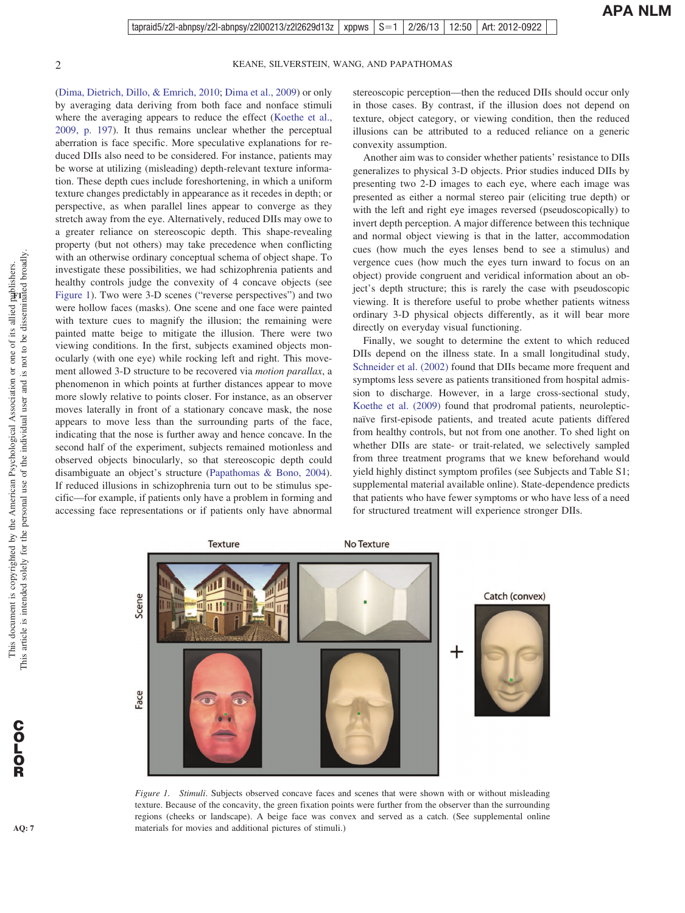[\(Dima, Dietrich, Dillo, & Emrich, 2010;](#page-5-1) [Dima et al., 2009\)](#page-5-0) or only by averaging data deriving from both face and nonface stimuli where the averaging appears to reduce the effect [\(Koethe et al.,](#page-6-4) [2009, p. 197\)](#page-6-4). It thus remains unclear whether the perceptual aberration is face specific. More speculative explanations for reduced DIIs also need to be considered. For instance, patients may be worse at utilizing (misleading) depth-relevant texture information. These depth cues include foreshortening, in which a uniform texture changes predictably in appearance as it recedes in depth; or perspective, as when parallel lines appear to converge as they stretch away from the eye. Alternatively, reduced DIIs may owe to a greater reliance on stereoscopic depth. This shape-revealing property (but not others) may take precedence when conflicting with an otherwise ordinary conceptual schema of object shape. To investigate these possibilities, we had schizophrenia patients and healthy controls judge the convexity of 4 concave objects (see [Figure 1\)](#page-1-0). Two were 3-D scenes ("reverse perspectives") and two were hollow faces (masks). One scene and one face were painted with texture cues to magnify the illusion; the remaining were painted matte beige to mitigate the illusion. There were two viewing conditions. In the first, subjects examined objects monocularly (with one eye) while rocking left and right. This movement allowed 3-D structure to be recovered via *motion parallax*, a phenomenon in which points at further distances appear to move more slowly relative to points closer. For instance, as an observer moves laterally in front of a stationary concave mask, the nose appears to move less than the surrounding parts of the face, indicating that the nose is further away and hence concave. In the second half of the experiment, subjects remained motionless and observed objects binocularly, so that stereoscopic depth could disambiguate an object's structure [\(Papathomas & Bono, 2004\)](#page-6-5). If reduced illusions in schizophrenia turn out to be stimulus specific—for example, if patients only have a problem in forming and accessing face representations or if patients only have abnormal

stereoscopic perception—then the reduced DIIs should occur only in those cases. By contrast, if the illusion does not depend on texture, object category, or viewing condition, then the reduced illusions can be attributed to a reduced reliance on a generic convexity assumption.

Another aim was to consider whether patients' resistance to DIIs generalizes to physical 3-D objects. Prior studies induced DIIs by presenting two 2-D images to each eye, where each image was presented as either a normal stereo pair (eliciting true depth) or with the left and right eye images reversed (pseudoscopically) to invert depth perception. A major difference between this technique and normal object viewing is that in the latter, accommodation cues (how much the eyes lenses bend to see a stimulus) and vergence cues (how much the eyes turn inward to focus on an object) provide congruent and veridical information about an object's depth structure; this is rarely the case with pseudoscopic viewing. It is therefore useful to probe whether patients witness ordinary 3-D physical objects differently, as it will bear more directly on everyday visual functioning.

Finally, we sought to determine the extent to which reduced DIIs depend on the illness state. In a small longitudinal study, [Schneider et al. \(2002\)](#page-6-2) found that DIIs became more frequent and symptoms less severe as patients transitioned from hospital admission to discharge. However, in a large cross-sectional study, [Koethe et al. \(2009\)](#page-6-4) found that prodromal patients, neurolepticnaïve first-episode patients, and treated acute patients differed from healthy controls, but not from one another. To shed light on whether DIIs are state- or trait-related, we selectively sampled from three treatment programs that we knew beforehand would yield highly distinct symptom profiles (see Subjects and Table S1; supplemental material available online). State-dependence predicts that patients who have fewer symptoms or who have less of a need for structured treatment will experience stronger DIIs.



<span id="page-1-0"></span>*Figure 1. Stimuli*. Subjects observed concave faces and scenes that were shown with or without misleading texture. Because of the concavity, the green fixation points were further from the observer than the surrounding regions (cheeks or landscape). A beige face was convex and served as a catch. (See supplemental online materials for movies and additional pictures of stimuli.)

<span id="page-1-1"></span>**C O L O R**

This document is copyrighted by the American Psychological Association or one of its allied publishers. This article is intended solely for the personal use of the individual user and is not to be disseminated broadly.

This document is copyrighted by the American Psychological Association or one of its allied publishers.<br>This article is intended solely for the personal use of the individual user and is not to be disseminated broadly.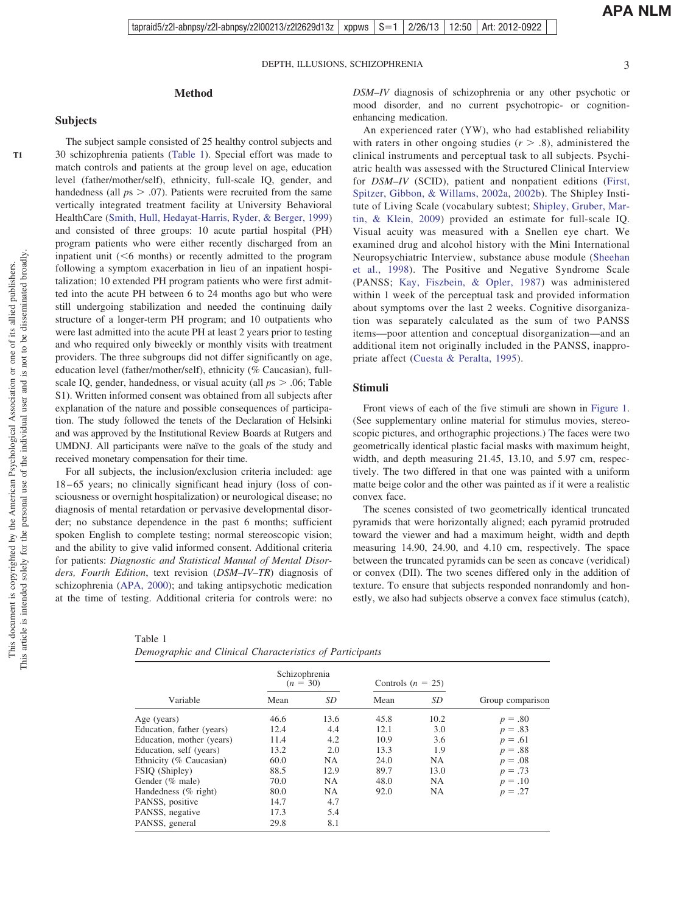### DEPTH, ILLUSIONS, SCHIZOPHRENIA 3

### **Subjects**

The subject sample consisted of 25 healthy control subjects and 30 schizophrenia patients [\(Table 1\)](#page-2-0). Special effort was made to match controls and patients at the group level on age, education level (father/mother/self), ethnicity, full-scale IQ, gender, and handedness (all  $ps > .07$ ). Patients were recruited from the same vertically integrated treatment facility at University Behavioral HealthCare [\(Smith, Hull, Hedayat-Harris, Ryder, & Berger, 1999\)](#page-6-6) and consisted of three groups: 10 acute partial hospital (PH) program patients who were either recently discharged from an inpatient unit  $( $6$  months) or recently admitted to the program$ following a symptom exacerbation in lieu of an inpatient hospitalization; 10 extended PH program patients who were first admitted into the acute PH between 6 to 24 months ago but who were still undergoing stabilization and needed the continuing daily structure of a longer-term PH program; and 10 outpatients who were last admitted into the acute PH at least 2 years prior to testing and who required only biweekly or monthly visits with treatment providers. The three subgroups did not differ significantly on age, education level (father/mother/self), ethnicity (% Caucasian), fullscale IQ, gender, handedness, or visual acuity (all  $ps > .06$ ; Table S1). Written informed consent was obtained from all subjects after explanation of the nature and possible consequences of participation. The study followed the tenets of the Declaration of Helsinki and was approved by the Institutional Review Boards at Rutgers and UMDNJ. All participants were naïve to the goals of the study and received monetary compensation for their time.

**Method**

For all subjects, the inclusion/exclusion criteria included: age 18 – 65 years; no clinically significant head injury (loss of consciousness or overnight hospitalization) or neurological disease; no diagnosis of mental retardation or pervasive developmental disorder; no substance dependence in the past 6 months; sufficient spoken English to complete testing; normal stereoscopic vision; and the ability to give valid informed consent. Additional criteria for patients: *Diagnostic and Statistical Manual of Mental Disorders, Fourth Edition*, text revision (*DSM–IV–TR*) diagnosis of schizophrenia [\(APA, 2000\)](#page-5-2); and taking antipsychotic medication at the time of testing. Additional criteria for controls were: no

<span id="page-2-0"></span>Table 1

| Demographic and Clinical Characteristics of Participants |  |  |  |  |
|----------------------------------------------------------|--|--|--|--|
|----------------------------------------------------------|--|--|--|--|

| DSM-IV diagnosis of schizophrenia or any other psychotic or |  |  |  |  |  |
|-------------------------------------------------------------|--|--|--|--|--|
| mood disorder, and no current psychotropic- or cognition-   |  |  |  |  |  |
| enhancing medication.                                       |  |  |  |  |  |

An experienced rater (YW), who had established reliability with raters in other ongoing studies  $(r > .8)$ , administered the clinical instruments and perceptual task to all subjects. Psychiatric health was assessed with the Structured Clinical Interview for *DSM–IV* (SCID), patient and nonpatient editions [\(First,](#page-6-7) [Spitzer, Gibbon, & Willams, 2002a,](#page-6-7) [2002b\)](#page-6-8). The Shipley Institute of Living Scale (vocabulary subtest; [Shipley, Gruber, Mar](#page-6-9)[tin, & Klein, 2009\)](#page-6-9) provided an estimate for full-scale IQ. Visual acuity was measured with a Snellen eye chart. We examined drug and alcohol history with the Mini International Neuropsychiatric Interview, substance abuse module [\(Sheehan](#page-6-10) [et al., 1998\)](#page-6-10). The Positive and Negative Syndrome Scale (PANSS; [Kay, Fiszbein, & Opler, 1987\)](#page-6-11) was administered within 1 week of the perceptual task and provided information about symptoms over the last 2 weeks. Cognitive disorganization was separately calculated as the sum of two PANSS items—poor attention and conceptual disorganization—and an additional item not originally included in the PANSS, inappropriate affect [\(Cuesta & Peralta, 1995\)](#page-5-3).

### **Stimuli**

Front views of each of the five stimuli are shown in [Figure 1.](#page-1-0) (See supplementary online material for stimulus movies, stereoscopic pictures, and orthographic projections.) The faces were two geometrically identical plastic facial masks with maximum height, width, and depth measuring 21.45, 13.10, and 5.97 cm, respectively. The two differed in that one was painted with a uniform matte beige color and the other was painted as if it were a realistic convex face.

The scenes consisted of two geometrically identical truncated pyramids that were horizontally aligned; each pyramid protruded toward the viewer and had a maximum height, width and depth measuring 14.90, 24.90, and 4.10 cm, respectively. The space between the truncated pyramids can be seen as concave (veridical) or convex (DII). The two scenes differed only in the addition of texture. To ensure that subjects responded nonrandomly and honestly, we also had subjects observe a convex face stimulus (catch),

|                           |      | Schizophrenia<br>$(n = 30)$ |      | Controls $(n = 25)$ |                  |  |
|---------------------------|------|-----------------------------|------|---------------------|------------------|--|
| Variable                  | Mean | SD                          | Mean | SD                  | Group comparison |  |
| Age (years)               | 46.6 | 13.6                        | 45.8 | 10.2                | $p=.80$          |  |
| Education, father (years) | 12.4 | 4.4                         | 12.1 | 3.0                 | $p=.83$          |  |
| Education, mother (years) | 11.4 | 4.2                         | 10.9 | 3.6                 | $p = .61$        |  |
| Education, self (years)   | 13.2 | 2.0                         | 13.3 | 1.9                 | $p=.88$          |  |
| Ethnicity (% Caucasian)   | 60.0 | <b>NA</b>                   | 24.0 | <b>NA</b>           | $p=.08$          |  |
| FSIQ (Shipley)            | 88.5 | 12.9                        | 89.7 | 13.0                | $p=.73$          |  |
| Gender (% male)           | 70.0 | <b>NA</b>                   | 48.0 | <b>NA</b>           | $p=.10$          |  |
| Handedness (% right)      | 80.0 | <b>NA</b>                   | 92.0 | <b>NA</b>           | $p = .27$        |  |
| PANSS, positive           | 14.7 | 4.7                         |      |                     |                  |  |
| PANSS, negative           | 17.3 | 5.4                         |      |                     |                  |  |
| PANSS, general            | 29.8 | 8.1                         |      |                     |                  |  |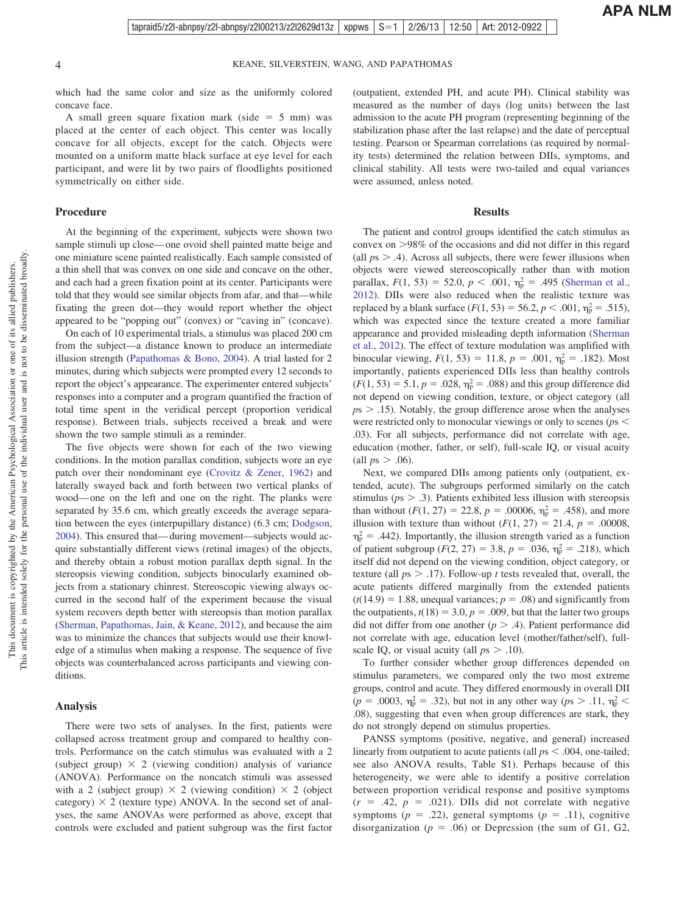4 KEANE, SILVERSTEIN, WANG, AND PAPATHOMAS

which had the same color and size as the uniformly colored concave face.

A small green square fixation mark (side  $= 5$  mm) was placed at the center of each object. This center was locally concave for all objects, except for the catch. Objects were mounted on a uniform matte black surface at eye level for each participant, and were lit by two pairs of floodlights positioned symmetrically on either side.

### **Procedure**

At the beginning of the experiment, subjects were shown two sample stimuli up close— one ovoid shell painted matte beige and one miniature scene painted realistically. Each sample consisted of a thin shell that was convex on one side and concave on the other, and each had a green fixation point at its center. Participants were told that they would see similar objects from afar, and that—while fixating the green dot—they would report whether the object appeared to be "popping out" (convex) or "caving in" (concave).

On each of 10 experimental trials, a stimulus was placed 200 cm from the subject—a distance known to produce an intermediate illusion strength [\(Papathomas & Bono, 2004\)](#page-6-5). A trial lasted for 2 minutes, during which subjects were prompted every 12 seconds to report the object's appearance. The experimenter entered subjects' responses into a computer and a program quantified the fraction of total time spent in the veridical percept (proportion veridical response). Between trials, subjects received a break and were shown the two sample stimuli as a reminder.

The five objects were shown for each of the two viewing conditions. In the motion parallax condition, subjects wore an eye patch over their nondominant eye [\(Crovitz & Zener, 1962\)](#page-5-4) and laterally swayed back and forth between two vertical planks of wood— one on the left and one on the right. The planks were separated by 35.6 cm, which greatly exceeds the average separation between the eyes (interpupillary distance) (6.3 cm; [Dodgson,](#page-6-12) [2004\)](#page-6-12). This ensured that— during movement—subjects would acquire substantially different views (retinal images) of the objects, and thereby obtain a robust motion parallax depth signal. In the stereopsis viewing condition, subjects binocularly examined objects from a stationary chinrest. Stereoscopic viewing always occurred in the second half of the experiment because the visual system recovers depth better with stereopsis than motion parallax [\(Sherman, Papathomas, Jain, & Keane, 2012\)](#page-6-13), and because the aim was to minimize the chances that subjects would use their knowledge of a stimulus when making a response. The sequence of five objects was counterbalanced across participants and viewing conditions.

### **Analysis**

There were two sets of analyses. In the first, patients were collapsed across treatment group and compared to healthy controls. Performance on the catch stimulus was evaluated with a 2 (subject group)  $\times$  2 (viewing condition) analysis of variance (ANOVA). Performance on the noncatch stimuli was assessed with a 2 (subject group)  $\times$  2 (viewing condition)  $\times$  2 (object category)  $\times$  2 (texture type) ANOVA. In the second set of analyses, the same ANOVAs were performed as above, except that controls were excluded and patient subgroup was the first factor

(outpatient, extended PH, and acute PH). Clinical stability was measured as the number of days (log units) between the last admission to the acute PH program (representing beginning of the stabilization phase after the last relapse) and the date of perceptual testing. Pearson or Spearman correlations (as required by normality tests) determined the relation between DIIs, symptoms, and clinical stability. All tests were two-tailed and equal variances were assumed, unless noted.

### **Results**

The patient and control groups identified the catch stimulus as convex on >98% of the occasions and did not differ in this regard (all  $ps > .4$ ). Across all subjects, there were fewer illusions when objects were viewed stereoscopically rather than with motion parallax,  $F(1, 53) = 52.0, p < .001, \eta_p^2 = .495$  [\(Sherman et al.,](#page-6-13) [2012\)](#page-6-13). DIIs were also reduced when the realistic texture was replaced by a blank surface  $(F(1, 53) = 56.2, p < .001, \eta_{p}^{2} = .515)$ , which was expected since the texture created a more familiar appearance and provided misleading depth information [\(Sherman](#page-6-13) [et al., 2012\)](#page-6-13). The effect of texture modulation was amplified with binocular viewing,  $F(1, 53) = 11.8$ ,  $p = .001$ ,  $\eta_p^2 = .182$ ). Most importantly, patients experienced DIIs less than healthy controls  $(F(1, 53) = 5.1, p = .028, \eta_p^2 = .088)$  and this group difference did not depend on viewing condition, texture, or object category (all  $p_s$   $>$  .15). Notably, the group difference arose when the analyses were restricted only to monocular viewings or only to scenes (*p*s .03). For all subjects, performance did not correlate with age, education (mother, father, or self), full-scale IQ, or visual acuity  $\text{(all } ps > .06).$ 

Next, we compared DIIs among patients only (outpatient, extended, acute). The subgroups performed similarly on the catch stimulus ( $ps$   $>$  .3). Patients exhibited less illusion with stereopsis than without  $(F(1, 27) = 22.8, p = .00006, \eta_p^2 = .458)$ , and more illusion with texture than without  $(F(1, 27) = 21.4, p = .00008,$  $\eta_{\rm p}^2$  = .442). Importantly, the illusion strength varied as a function of patient subgroup ( $F(2, 27) = 3.8$ ,  $p = .036$ ,  $\eta_p^2 = .218$ ), which itself did not depend on the viewing condition, object category, or texture (all  $ps > .17$ ). Follow-up *t* tests revealed that, overall, the acute patients differed marginally from the extended patients  $(t(14.9) = 1.88$ , unequal variances;  $p = .08$ ) and significantly from the outpatients,  $t(18) = 3.0$ ,  $p = .009$ , but that the latter two groups did not differ from one another  $(p > .4)$ . Patient performance did not correlate with age, education level (mother/father/self), fullscale IQ, or visual acuity (all  $ps > .10$ ).

To further consider whether group differences depended on stimulus parameters, we compared only the two most extreme groups, control and acute. They differed enormously in overall DII  $(p = .0003, \eta_{\rm p}^2 = .32)$ , but not in any other way  $(ps > .11, \eta_{\rm p}^2 <$ .08), suggesting that even when group differences are stark, they do not strongly depend on stimulus properties.

PANSS symptoms (positive, negative, and general) increased linearly from outpatient to acute patients (all  $ps < .004$ , one-tailed; see also ANOVA results, Table S1). Perhaps because of this heterogeneity, we were able to identify a positive correlation between proportion veridical response and positive symptoms  $(r = .42, p = .021)$ . DIIs did not correlate with negative symptoms ( $p = .22$ ), general symptoms ( $p = .11$ ), cognitive disorganization ( $p = .06$ ) or Depression (the sum of G1, G2,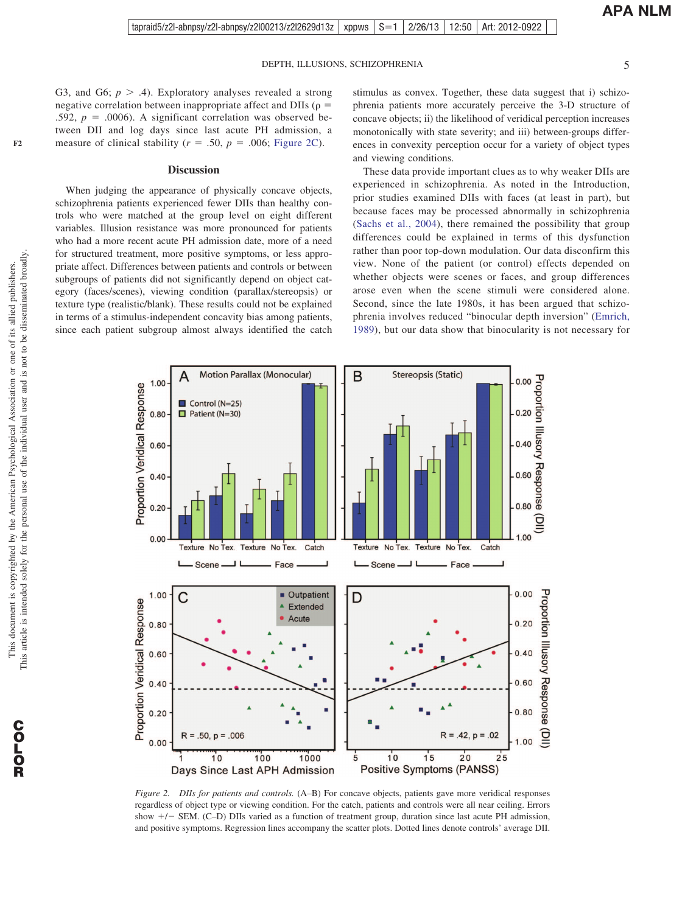G3, and G6;  $p > .4$ ). Exploratory analyses revealed a strong negative correlation between inappropriate affect and DIIs ( $\rho$  = .592,  $p = .0006$ ). A significant correlation was observed between DII and log days since last acute PH admission, a measure of clinical stability ( $r = .50$ ,  $p = .006$ ; [Figure 2C\)](#page-4-0).

### **Discussion**

When judging the appearance of physically concave objects, schizophrenia patients experienced fewer DIIs than healthy controls who were matched at the group level on eight different variables. Illusion resistance was more pronounced for patients who had a more recent acute PH admission date, more of a need for structured treatment, more positive symptoms, or less appropriate affect. Differences between patients and controls or between subgroups of patients did not significantly depend on object category (faces/scenes), viewing condition (parallax/stereopsis) or texture type (realistic/blank). These results could not be explained in terms of a stimulus-independent concavity bias among patients, since each patient subgroup almost always identified the catch

stimulus as convex. Together, these data suggest that i) schizophrenia patients more accurately perceive the 3-D structure of concave objects; ii) the likelihood of veridical perception increases monotonically with state severity; and iii) between-groups differences in convexity perception occur for a variety of object types and viewing conditions.

These data provide important clues as to why weaker DIIs are experienced in schizophrenia. As noted in the Introduction, prior studies examined DIIs with faces (at least in part), but because faces may be processed abnormally in schizophrenia [\(Sachs et al., 2004\)](#page-6-3), there remained the possibility that group differences could be explained in terms of this dysfunction rather than poor top-down modulation. Our data disconfirm this view. None of the patient (or control) effects depended on whether objects were scenes or faces, and group differences arose even when the scene stimuli were considered alone. Second, since the late 1980s, it has been argued that schizophrenia involves reduced "binocular depth inversion" [\(Emrich,](#page-6-14) [1989\)](#page-6-14), but our data show that binocularity is not necessary for



<span id="page-4-0"></span>*Figure 2. DIIs for patients and controls.* (A–B) For concave objects, patients gave more veridical responses regardless of object type or viewing condition. For the catch, patients and controls were all near ceiling. Errors show  $+/-$  SEM. (C–D) DIIs varied as a function of treatment group, duration since last acute PH admission, and positive symptoms. Regression lines accompany the scatter plots. Dotted lines denote controls' average DII.

**C O L O R**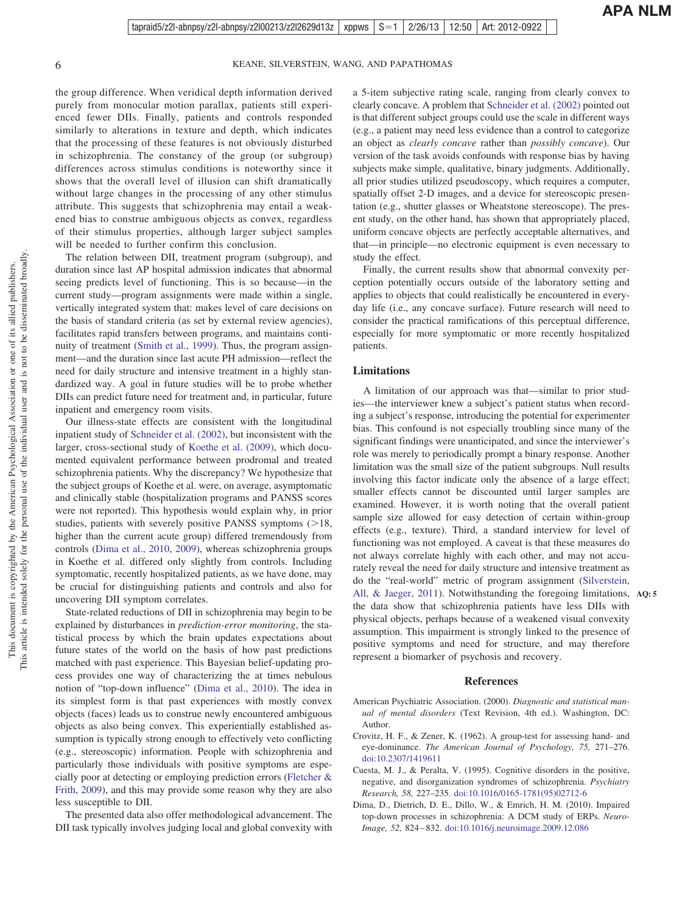### 6 KEANE, SILVERSTEIN, WANG, AND PAPATHOMAS

<span id="page-5-0"></span>the group difference. When veridical depth information derived purely from monocular motion parallax, patients still experienced fewer DIIs. Finally, patients and controls responded similarly to alterations in texture and depth, which indicates that the processing of these features is not obviously disturbed in schizophrenia. The constancy of the group (or subgroup) differences across stimulus conditions is noteworthy since it shows that the overall level of illusion can shift dramatically without large changes in the processing of any other stimulus attribute. This suggests that schizophrenia may entail a weakened bias to construe ambiguous objects as convex, regardless of their stimulus properties, although larger subject samples will be needed to further confirm this conclusion.

The relation between DII, treatment program (subgroup), and duration since last AP hospital admission indicates that abnormal seeing predicts level of functioning. This is so because—in the current study—program assignments were made within a single, vertically integrated system that: makes level of care decisions on the basis of standard criteria (as set by external review agencies), facilitates rapid transfers between programs, and maintains continuity of treatment [\(Smith et al., 1999\)](#page-6-6). Thus, the program assignment—and the duration since last acute PH admission—reflect the need for daily structure and intensive treatment in a highly standardized way. A goal in future studies will be to probe whether DIIs can predict future need for treatment and, in particular, future inpatient and emergency room visits.

Our illness-state effects are consistent with the longitudinal inpatient study of [Schneider et al. \(2002\),](#page-6-2) but inconsistent with the larger, cross-sectional study of [Koethe et al. \(2009\),](#page-6-4) which documented equivalent performance between prodromal and treated schizophrenia patients. Why the discrepancy? We hypothesize that the subject groups of Koethe et al. were, on average, asymptomatic and clinically stable (hospitalization programs and PANSS scores were not reported). This hypothesis would explain why, in prior studies, patients with severely positive PANSS symptoms  $(>=18,$ higher than the current acute group) differed tremendously from controls [\(Dima et al., 2010,](#page-5-1) [2009\)](#page-5-0), whereas schizophrenia groups in Koethe et al. differed only slightly from controls. Including symptomatic, recently hospitalized patients, as we have done, may be crucial for distinguishing patients and controls and also for uncovering DII symptom correlates.

State-related reductions of DII in schizophrenia may begin to be explained by disturbances in *prediction-error monitoring*, the statistical process by which the brain updates expectations about future states of the world on the basis of how past predictions matched with past experience. This Bayesian belief-updating process provides one way of characterizing the at times nebulous notion of "top-down influence" [\(Dima et al., 2010\)](#page-5-1). The idea in its simplest form is that past experiences with mostly convex objects (faces) leads us to construe newly encountered ambiguous objects as also being convex. This experientially established assumption is typically strong enough to effectively veto conflicting (e.g., stereoscopic) information. People with schizophrenia and particularly those individuals with positive symptoms are especially poor at detecting or employing prediction errors [\(Fletcher &](#page-6-15) [Frith, 2009\)](#page-6-15), and this may provide some reason why they are also less susceptible to DII.

The presented data also offer methodological advancement. The DII task typically involves judging local and global convexity with

a 5-item subjective rating scale, ranging from clearly convex to clearly concave. A problem that [Schneider et al. \(2002\)](#page-6-2) pointed out is that different subject groups could use the scale in different ways (e.g., a patient may need less evidence than a control to categorize an object as *clearly concave* rather than *possibly concave*). Our version of the task avoids confounds with response bias by having subjects make simple, qualitative, binary judgments. Additionally, all prior studies utilized pseudoscopy, which requires a computer, spatially offset 2-D images, and a device for stereoscopic presentation (e.g., shutter glasses or Wheatstone stereoscope). The present study, on the other hand, has shown that appropriately placed, uniform concave objects are perfectly acceptable alternatives, and that—in principle—no electronic equipment is even necessary to study the effect.

Finally, the current results show that abnormal convexity perception potentially occurs outside of the laboratory setting and applies to objects that could realistically be encountered in everyday life (i.e., any concave surface). Future research will need to consider the practical ramifications of this perceptual difference, especially for more symptomatic or more recently hospitalized patients.

### **Limitations**

A limitation of our approach was that—similar to prior studies—the interviewer knew a subject's patient status when recording a subject's response, introducing the potential for experimenter bias. This confound is not especially troubling since many of the significant findings were unanticipated, and since the interviewer's role was merely to periodically prompt a binary response. Another limitation was the small size of the patient subgroups. Null results involving this factor indicate only the absence of a large effect; smaller effects cannot be discounted until larger samples are examined. However, it is worth noting that the overall patient sample size allowed for easy detection of certain within-group effects (e.g., texture). Third, a standard interview for level of functioning was not employed. A caveat is that these measures do not always correlate highly with each other, and may not accurately reveal the need for daily structure and intensive treatment as do the "real-world" metric of program assignment [\(Silverstein,](#page-6-16) [All, & Jaeger, 2011\)](#page-6-16). Notwithstanding the foregoing limitations, **AQ: 5** the data show that schizophrenia patients have less DIIs with physical objects, perhaps because of a weakened visual convexity assumption. This impairment is strongly linked to the presence of positive symptoms and need for structure, and may therefore represent a biomarker of psychosis and recovery.

### <span id="page-5-5"></span>**References**

- <span id="page-5-2"></span>American Psychiatric Association. (2000). *Diagnostic and statistical manual of mental disorders* (Text Revision, 4th ed.). Washington, DC: Author.
- <span id="page-5-4"></span>Crovitz, H. F., & Zener, K. (1962). A group-test for assessing hand- and eye-dominance. *The American Journal of Psychology, 75,* 271–276. [doi:10.2307/1419611](http://dx.doi.org/10.2307/1419611)
- <span id="page-5-3"></span>Cuesta, M. J., & Peralta, V. (1995). Cognitive disorders in the positive, negative, and disorganization syndromes of schizophrenia. *Psychiatry Research, 58,* 227–235. [doi:10.1016/0165-1781\(95\)02712-6](http://dx.doi.org/10.1016/0165-1781%2895%2902712-6)
- <span id="page-5-1"></span>Dima, D., Dietrich, D. E., Dillo, W., & Emrich, H. M. (2010). Impaired top-down processes in schizophrenia: A DCM study of ERPs. *Neuro-Image, 52,* 824 – 832. [doi:10.1016/j.neuroimage.2009.12.086](http://dx.doi.org/10.1016/j.neuroimage.2009.12.086)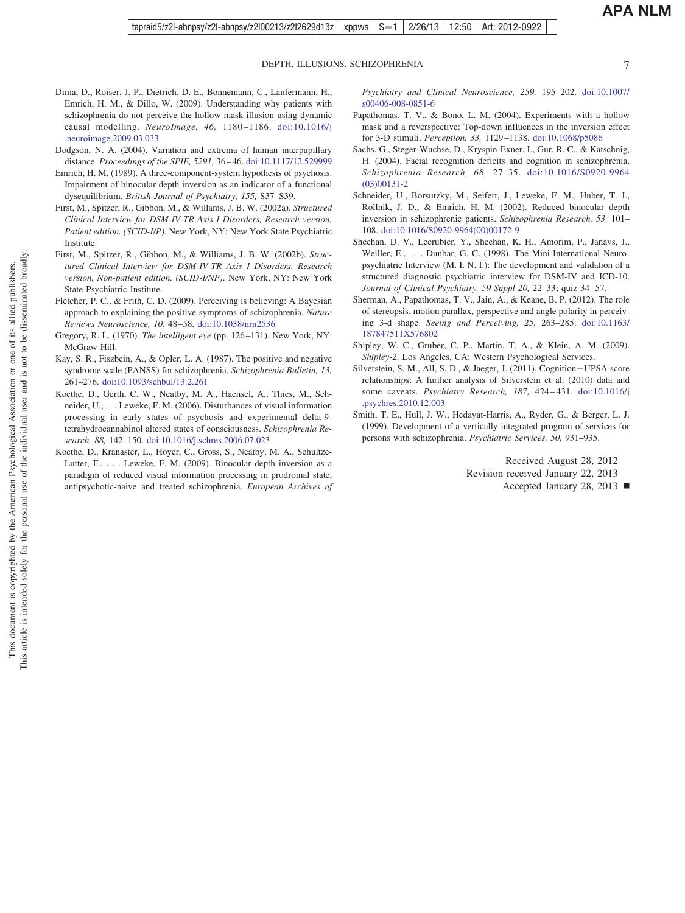### DEPTH, ILLUSIONS, SCHIZOPHRENIA 7

- Dima, D., Roiser, J. P., Dietrich, D. E., Bonnemann, C., Lanfermann, H., Emrich, H. M., & Dillo, W. (2009). Understanding why patients with schizophrenia do not perceive the hollow-mask illusion using dynamic causal modelling. *NeuroImage, 46,* 1180 –1186. [doi:10.1016/j](http://dx.doi.org/10.1016/j.neuroimage.2009.03.033) [.neuroimage.2009.03.033](http://dx.doi.org/10.1016/j.neuroimage.2009.03.033)
- <span id="page-6-12"></span>Dodgson, N. A. (2004). Variation and extrema of human interpupillary distance. *Proceedings of the SPIE, 5291,* 36 – 46. [doi:10.1117/12.529999](http://dx.doi.org/10.1117/12.529999)
- <span id="page-6-14"></span>Emrich, H. M. (1989). A three-component-system hypothesis of psychosis. Impairment of binocular depth inversion as an indicator of a functional dysequilibrium. *British Journal of Psychiatry, 155,* S37–S39.
- <span id="page-6-7"></span>First, M., Spitzer, R., Gibbon, M., & Willams, J. B. W. (2002a). *Structured Clinical Interview for DSM-IV-TR Axis I Disorders, Research version, Patient edition. (SCID-I/P)*. New York, NY: New York State Psychiatric Institute.
- <span id="page-6-8"></span>First, M., Spitzer, R., Gibbon, M., & Williams, J. B. W. (2002b). *Structured Clinical Interview for DSM-IV-TR Axis I Disorders, Research version, Non-patient edition. (SCID-I/NP)*. New York, NY: New York State Psychiatric Institute.
- <span id="page-6-15"></span>Fletcher, P. C., & Frith, C. D. (2009). Perceiving is believing: A Bayesian approach to explaining the positive symptoms of schizophrenia. *Nature Reviews Neuroscience, 10,* 48 –58. [doi:10.1038/nrn2536](http://dx.doi.org/10.1038/nrn2536)
- <span id="page-6-0"></span>Gregory, R. L. (1970). *The intelligent eye* (pp. 126 –131). New York, NY: McGraw-Hill.
- <span id="page-6-11"></span>Kay, S. R., Fiszbein, A., & Opler, L. A. (1987). The positive and negative syndrome scale (PANSS) for schizophrenia. *Schizophrenia Bulletin, 13,* 261–276. [doi:10.1093/schbul/13.2.261](http://dx.doi.org/10.1093/schbul/13.2.261)
- <span id="page-6-1"></span>Koethe, D., Gerth, C. W., Neatby, M. A., Haensel, A., Thies, M., Schneider, U.,... Leweke, F. M. (2006). Disturbances of visual information processing in early states of psychosis and experimental delta-9 tetrahydrocannabinol altered states of consciousness. *Schizophrenia Research, 88,* 142–150. [doi:10.1016/j.schres.2006.07.023](http://dx.doi.org/10.1016/j.schres.2006.07.023)
- <span id="page-6-4"></span>Koethe, D., Kranaster, L., Hoyer, C., Gross, S., Neatby, M. A., Schultze-Lutter, F., ... Leweke, F. M. (2009). Binocular depth inversion as a paradigm of reduced visual information processing in prodromal state, antipsychotic-naive and treated schizophrenia. *European Archives of*

*Psychiatry and Clinical Neuroscience, 259,* 195–202. [doi:10.1007/](http://dx.doi.org/10.1007/s00406-008-0851-6) [s00406-008-0851-6](http://dx.doi.org/10.1007/s00406-008-0851-6)

- <span id="page-6-5"></span>Papathomas, T. V., & Bono, L. M. (2004). Experiments with a hollow mask and a reverspective: Top-down influences in the inversion effect for 3-D stimuli. *Perception, 33,* 1129 –1138. [doi:10.1068/p5086](http://dx.doi.org/10.1068/p5086)
- <span id="page-6-3"></span>Sachs, G., Steger-Wuchse, D., Kryspin-Exner, I., Gur, R. C., & Katschnig, H. (2004). Facial recognition deficits and cognition in schizophrenia. *Schizophrenia Research, 68,* 27–35. [doi:10.1016/S0920-9964](http://dx.doi.org/10.1016/S0920-9964%2803%2900131-2) [\(03\)00131-2](http://dx.doi.org/10.1016/S0920-9964%2803%2900131-2)
- <span id="page-6-2"></span>Schneider, U., Borsutzky, M., Seifert, J., Leweke, F. M., Huber, T. J., Rollnik, J. D., & Emrich, H. M. (2002). Reduced binocular depth inversion in schizophrenic patients. *Schizophrenia Research, 53,* 101– 108. [doi:10.1016/S0920-9964\(00\)00172-9](http://dx.doi.org/10.1016/S0920-9964%2800%2900172-9)
- <span id="page-6-10"></span>Sheehan, D. V., Lecrubier, Y., Sheehan, K. H., Amorim, P., Janavs, J., Weiller, E.,... Dunbar, G. C. (1998). The Mini-International Neuropsychiatric Interview (M. I. N. I.): The development and validation of a structured diagnostic psychiatric interview for DSM-IV and ICD-10. *Journal of Clinical Psychiatry, 59 Suppl 20,* 22–33; quiz 34 –57.
- <span id="page-6-13"></span>Sherman, A., Papathomas, T. V., Jain, A., & Keane, B. P. (2012). The role of stereopsis, motion parallax, perspective and angle polarity in perceiving 3-d shape. *Seeing and Perceiving, 25,* 263–285. [doi:10.1163/](http://dx.doi.org/10.1163/187847511X576802) [187847511X576802](http://dx.doi.org/10.1163/187847511X576802)
- <span id="page-6-9"></span>Shipley, W. C., Gruber, C. P., Martin, T. A., & Klein, A. M. (2009). *Shipley-2*. Los Angeles, CA: Western Psychological Services.
- <span id="page-6-16"></span>Silverstein, S. M., All, S. D., & Jaeger, J. (2011). Cognition-UPSA score relationships: A further analysis of Silverstein et al. (2010) data and some caveats. *Psychiatry Research, 187,* 424 – 431. [doi:10.1016/j](http://dx.doi.org/10.1016/j.psychres.2010.12.003) [.psychres.2010.12.003](http://dx.doi.org/10.1016/j.psychres.2010.12.003)
- <span id="page-6-6"></span>Smith, T. E., Hull, J. W., Hedayat-Harris, A., Ryder, G., & Berger, L. J. (1999). Development of a vertically integrated program of services for persons with schizophrenia. *Psychiatric Services, 50,* 931–935.

Received August 28, 2012

Revision received January 22, 2013

Accepted January 28, 2013